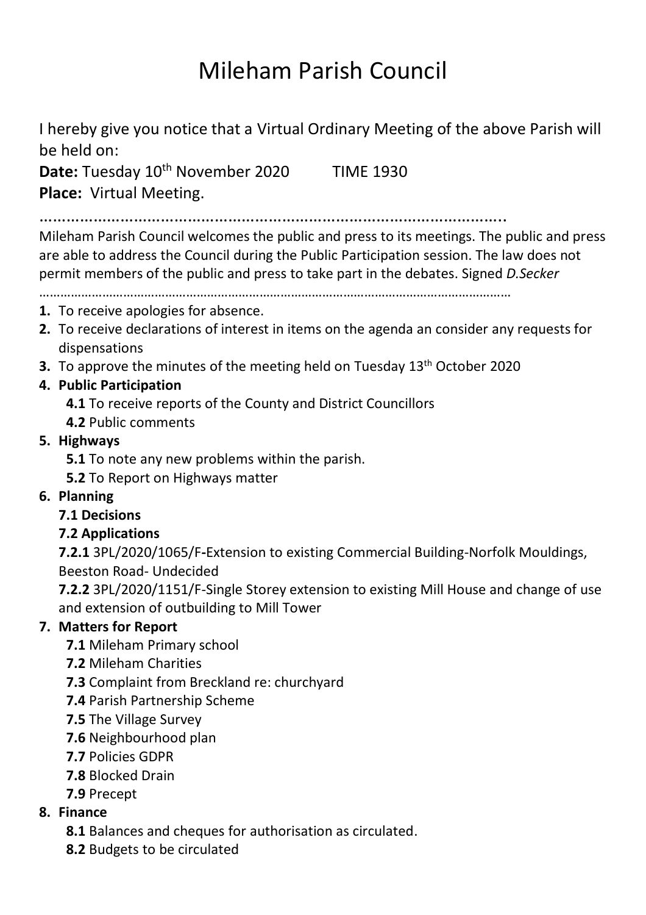# Mileham Parish Council

I hereby give you notice that a Virtual Ordinary Meeting of the above Parish will be held on:

**Date:** Tuesday 10<sup>th</sup> November 2020 TIME 1930 **Place:** Virtual Meeting.

…………………………………………………………………………………………..

Mileham Parish Council welcomes the public and press to its meetings. The public and press are able to address the Council during the Public Participation session. The law does not permit members of the public and press to take part in the debates. Signed *D.Secker*

………………………………………………………………………………………………………………………

- **1.** To receive apologies for absence.
- **2.** To receive declarations of interest in items on the agenda an consider any requests for dispensations
- **3.** To approve the minutes of the meeting held on Tuesday 13<sup>th</sup> October 2020

## **4. Public Participation**

- **4.1** To receive reports of the County and District Councillors
- **4.2** Public comments

## **5. Highways**

**5.1** To note any new problems within the parish.

**5.2** To Report on Highways matter

# **6. Planning**

#### **7.1 Decisions**

# **7.2 Applications**

**7.2.1** 3PL/2020/1065/F**-**Extension to existing Commercial Building-Norfolk Mouldings, Beeston Road- Undecided

**7.2.2** 3PL/2020/1151/F-Single Storey extension to existing Mill House and change of use and extension of outbuilding to Mill Tower

# **7. Matters for Report**

- **7.1** Mileham Primary school
- **7.2** Mileham Charities
- **7.3** Complaint from Breckland re: churchyard
- **7.4** Parish Partnership Scheme
- **7.5** The Village Survey
- **7.6** Neighbourhood plan
- **7.7** Policies GDPR
- **7.8** Blocked Drain
- **7.9** Precept

# **8. Finance**

- **8.1** Balances and cheques for authorisation as circulated.
- **8.2** Budgets to be circulated